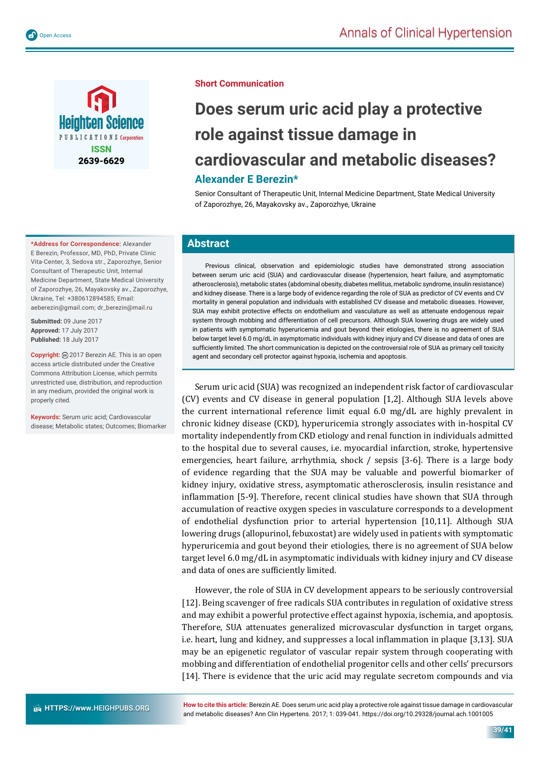

**\*Address for Correspondence:** Alexander E Berezin, Professor, MD, PhD, Private Clinic Vita-Center, 3, Sedova str., Zaporozhye, Senior Consultant of Therapeutic Unit, Internal Medicine Department, State Medical University of Zaporozhye, 26, Mayakovsky av., Zaporozhye, Ukraine, Tel: +380612894585; Email: aeberezin@gmail.com; dr\_berezin@mail.ru

**Submitted:** 09 June 2017 **Approved:** 17 July 2017 **Published:** 18 July 2017

**Copyright:** 2017 Berezin AE. This is an open access article distributed under the Creative Commons Attribution License, which permits unrestricted use, distribution, and reproduction in any medium, provided the original work is properly cited.

**Keywords:** Serum uric acid; Cardiovascular disease; Metabolic states; Outcomes; Biomarker

## **Does serum uric acid play a protective role against tissue damage in cardiovascular and metabolic diseases? Alexander E Berezin\***

Senior Consultant of Therapeutic Unit, Internal Medicine Department, State Medical University of Zaporozhye, 26, Mayakovsky av., Zaporozhye, Ukraine

## **Abstract**

Previous clinical, observation and epidemiologic studies have demonstrated strong association between serum uric acid (SUA) and cardiovascular disease (hypertension, heart failure, and asymptomatic atherosclerosis), metabolic states (abdominal obesity, diabetes mellitus, metabolic syndrome, insulin resistance) and kidney disease. There is a large body of evidence regarding the role of SUA as predictor of CV events and CV mortality in general population and individuals with established CV disease and metabolic diseases. However, SUA may exhibit protective effects on endothelium and vasculature as well as attenuate endogenous repair system through mobbing and differentiation of cell precursors. Although SUA lowering drugs are widely used in patients with symptomatic hyperuricemia and gout beyond their etiologies, there is no agreement of SUA below target level 6.0 mg/dL in asymptomatic individuals with kidney injury and CV disease and data of ones are sufficiently limited. The short communication is depicted on the controversial role of SUA as primary cell toxicity agent and secondary cell protector against hypoxia, ischemia and apoptosis.

Serum uric acid (SUA) was recognized an independent risk factor of cardiovascular (CV) events and CV disease in general population [1,2]. Although SUA levels above the current international reference limit equal 6.0 mg/dL are highly prevalent in chronic kidney disease (CKD), hyperuricemia strongly associates with in-hospital CV mortality independently from CKD etiology and renal function in individuals admitted to the hospital due to several causes, i.e. myocardial infarction, stroke, hypertensive emergencies, heart failure, arrhythmia, shock / sepsis [3-6]. There is a large body of evidence regarding that the SUA may be valuable and powerful biomarker of kidney injury, oxidative stress, asymptomatic atherosclerosis, insulin resistance and inflammation [5-9]. Therefore, recent clinical studies have shown that SUA through accumulation of reactive oxygen species in vasculature corresponds to a development of endothelial dysfunction prior to arterial hypertension [10,11]. Although SUA lowering drugs (allopurinol, febuxostat) are widely used in patients with symptomatic hyperuricemia and gout beyond their etiologies, there is no agreement of SUA below target level 6.0 mg/dL in asymptomatic individuals with kidney injury and CV disease and data of ones are sufficiently limited.

However, the role of SUA in CV development appears to be seriously controversial [12]. Being scavenger of free radicals SUA contributes in regulation of oxidative stress and may exhibit a powerful protective effect against hypoxia, ischemia, and apoptosis. Therefore, SUA attenuates generalized microvascular dysfunction in target organs, i.e. heart, lung and kidney, and suppresses a local inflammation in plaque [3,13]. SUA may be an epigenetic regulator of vascular repair system through cooperating with mobbing and differentiation of endothelial progenitor cells and other cells' precursors [14]. There is evidence that the uric acid may regulate secretom compounds and via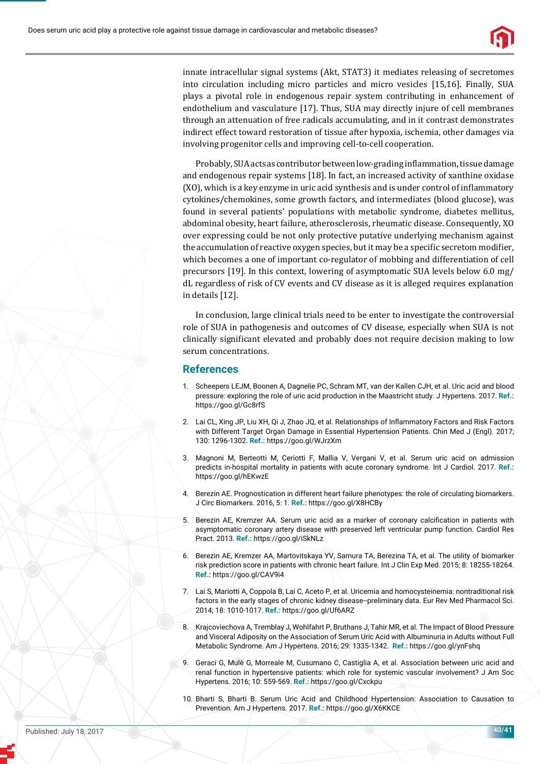

innate intracellular signal systems (Akt, STAT3) it mediates releasing of secretomes into circulation including micro particles and micro vesicles [15,16]. Finally, SUA plays a pivotal role in endogenous repair system contributing in enhancement of endothelium and vasculature [17]. Thus, SUA may directly injure of cell membranes through an attenuation of free radicals accumulating, and in it contrast demonstrates indirect effect toward restoration of tissue after hypoxia, ischemia, other damages via involving progenitor cells and improving cell-to-cell cooperation.

Probably, SUA acts as contributor between low-grading inflammation, tissue damage and endogenous repair systems [18]. In fact, an increased activity of xanthine oxidase (XO), which is a key enzyme in uric acid synthesis and is under control of inflammatory cytokines/chemokines, some growth factors, and intermediates (blood glucose), was found in several patients' populations with metabolic syndrome, diabetes mellitus, abdominal obesity, heart failure, atherosclerosis, rheumatic disease. Consequently, XO over expressing could be not only protective putative underlying mechanism against the accumulation of reactive oxygen species, but it may be a specific secretom modifier, which becomes a one of important co-regulator of mobbing and differentiation of cell precursors [19]. In this context, lowering of asymptomatic SUA levels below 6.0 mg/ dL regardless of risk of CV events and CV disease as it is alleged requires explanation in details [12].

In conclusion, large clinical trials need to be enter to investigate the controversial role of SUA in pathogenesis and outcomes of CV disease, especially when SUA is not clinically significant elevated and probably does not require decision making to low serum concentrations.

## **References**

- 1. Scheepers LEJM, Boonen A, Dagnelie PC, Schram MT, van der Kallen CJH, et al. Uric acid and blood pressure: exploring the role of uric acid production in the Maastricht study. J Hypertens. 2017. **Ref.:**  https://goo.gl/Gc8rfS
- 2. Lai CL, Xing JP, Liu XH, Qi J, Zhao JQ, et al. Relationships of Inflammatory Factors and Risk Factors with Different Target Organ Damage in Essential Hypertension Patients. Chin Med J (Engl). 2017; 130: 1296-1302. **Ref.:** https://goo.gl/WJrzXm
- 3. Magnoni M, Berteotti M, Ceriotti F, Mallia V, Vergani V, et al. Serum uric acid on admission predicts in-hospital mortality in patients with acute coronary syndrome. Int J Cardiol. 2017. **Ref.:** https://goo.gl/hEKwzE
- 4. Berezin AE. Prognostication in different heart failure phenotypes: the role of circulating biomarkers. J Circ Biomarkers. 2016, 5: 1. **Ref.:** https://goo.gl/X8HCBy
- 5. Berezin AE, Kremzer AA. Serum uric acid as a marker of coronary calcification in patients with asymptomatic coronary artery disease with preserved left ventricular pump function. Cardiol Res Pract. 2013. **Ref.:** https://goo.gl/iSkNLz
- 6. Berezin AE, Kremzer AA, Martovitskaya YV, Samura TA, Berezina TA, et al. The utility of biomarker risk prediction score in patients with chronic heart failure. Int J Clin Exp Med. 2015; 8: 18255-18264. **Ref.:** https://goo.gl/CAV9i4
- 7. Lai S, Mariotti A, Coppola B, Lai C, Aceto P, et al. Uricemia and homocysteinemia: nontraditional risk factors in the early stages of chronic kidney disease--preliminary data. Eur Rev Med Pharmacol Sci. 2014; 18: 1010-1017. **Ref.:** https://goo.gl/Uf6ARZ
- 8. Krajcoviechova A, Tremblay J, Wohlfahrt P, Bruthans J, Tahir MR, et al. The Impact of Blood Pressure and Visceral Adiposity on the Association of Serum Uric Acid with Albuminuria in Adults without Full Metabolic Syndrome. Am J Hypertens. 2016; 29: 1335-1342. **Ref.:** https://goo.gl/ynFshq
- 9. Geraci G, Mulè G, Morreale M, Cusumano C, Castiglia A, et al. Association between uric acid and renal function in hypertensive patients: which role for systemic vascular involvement? J Am Soc Hypertens. 2016; 10: 559-569. **Ref.:** https://goo.gl/Cxckpu
- 10. Bharti S, Bharti B. Serum Uric Acid and Childhood Hypertension: Association to Causation to Prevention. Am J Hypertens. 2017. **Ref.:** https://goo.gl/X6KKCE